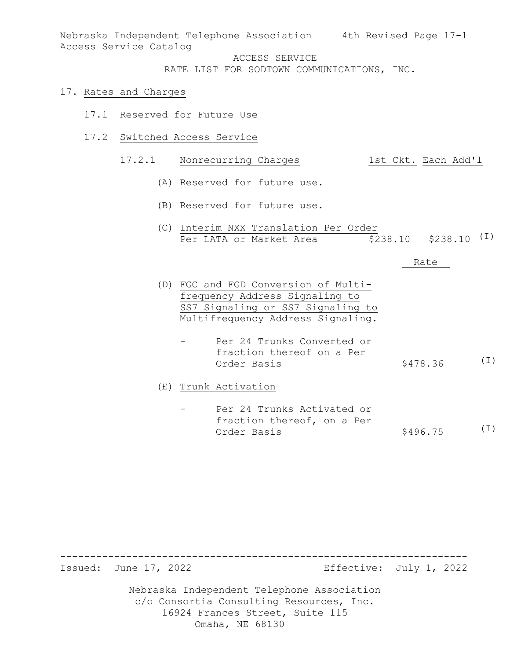Nebraska Independent Telephone Association 4th Revised Page 17-1 Access Service Catalog

ACCESS SERVICE

RATE LIST FOR SODTOWN COMMUNICATIONS, INC.

### 17. Rates and Charges

- 17.1 Reserved for Future Use
- 17.2 Switched Access Service
	- 17.2.1 Nonrecurring Charges 1st Ckt. Each Add'l
		- (A) Reserved for future use.
		- (B) Reserved for future use.
		- (C) Interim NXX Translation Per Order Per LATA or Market Area  $\frac{1}{2}$  \$238.10 \$238.10  $(1)$

Rate

- (D) FGC and FGD Conversion of Multifrequency Address Signaling to SS7 Signaling or SS7 Signaling to Multifrequency Address Signaling.
	- Per 24 Trunks Converted or fraction thereof on a Per Order Basis  $$478.36$ (I)
- (E) Trunk Activation
	- Per 24 Trunks Activated or fraction thereof, on a Per Order Basis \$496.75 (I)

-------------------------------------------------------------------- Effective: July 1, 2022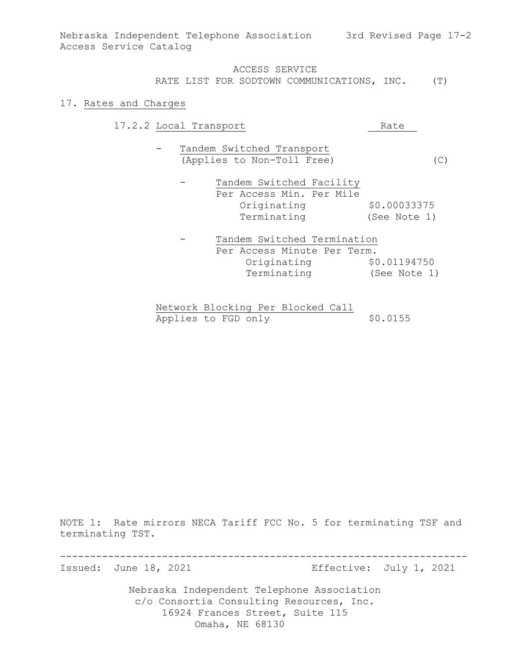Nebraska Independent Telephone Association 3rd Revised Page 17-2 Access Service Catalog

#### ACCESS SERVICE

RATE LIST FOR SODTOWN COMMUNICATIONS, INC. (T)

#### 17. Rates and Charges

- 17.2.2 Local Transport Rate
	- Tandem Switched Transport (Applies to Non-Toll Free) (C)
- Tandem Switched Facility Per Access Min. Per Mile Originating \$0.00033375 Terminating (See Note 1)
	- Tandem Switched Termination Per Access Minute Per Term. Originating \$0.01194750 Terminating (See Note 1)

Network Blocking Per Blocked Call<br>Applies to FGD only 50.0155 Applies to FGD only

NOTE 1: Rate mirrors NECA Tariff FCC No. 5 for terminating TSF and terminating TST.

-------------------------------------------------------------------- Effective: July 1, 2021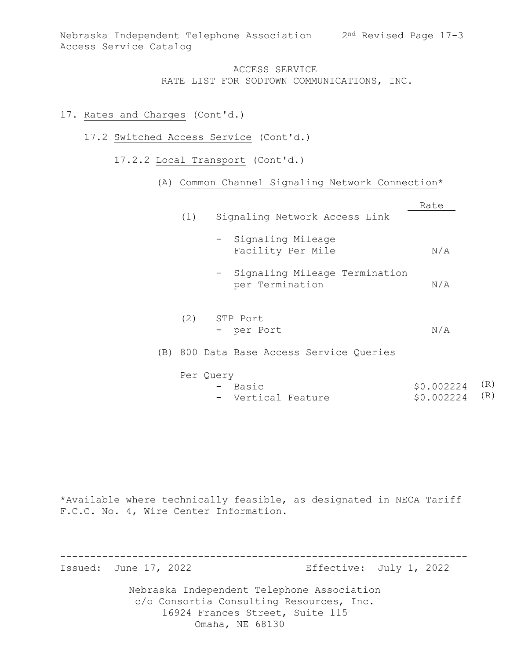## 17. Rates and Charges (Cont'd.)

- 17.2 Switched Access Service (Cont'd.)
	- 17.2.2 Local Transport (Cont'd.)

### (A) Common Channel Signaling Network Connection\*

|     |     |                                                    | Rate |
|-----|-----|----------------------------------------------------|------|
|     | (1) | Signaling Network Access Link                      |      |
|     |     | - Signaling Mileage<br>Facility Per Mile           | N/A  |
|     |     | - Signaling Mileage Termination<br>per Termination | N/A  |
|     | (2) | STP Port<br>- per Port                             | N/A  |
| (B) |     | 800 Data Base Access Service Queries               |      |
|     |     | Per Query                                          |      |

| - Basic            | \$0.002224 (R) |  |
|--------------------|----------------|--|
| - Vertical Feature | \$0.002224 (R) |  |

\*Available where technically feasible, as designated in NECA Tariff F.C.C. No. 4, Wire Center Information.

-------------------------------------------------------------------- Effective: July 1, 2022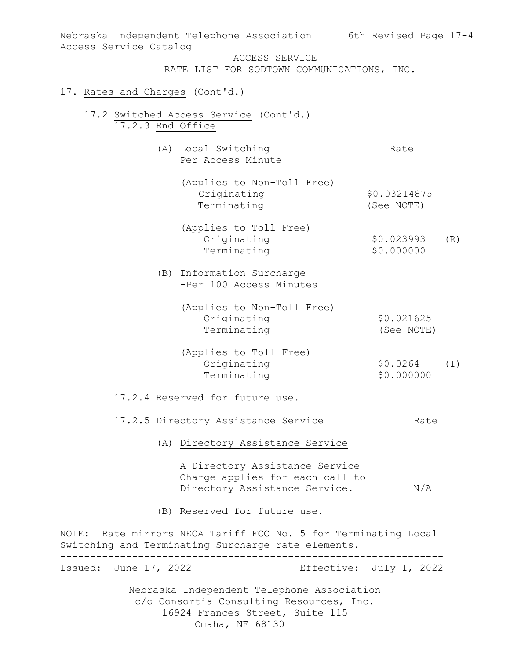| Nebraska Independent Telephone Association<br>Access Service Catalog                                                                         | 6th Revised Page 17-4              |
|----------------------------------------------------------------------------------------------------------------------------------------------|------------------------------------|
| ACCESS SERVICE                                                                                                                               |                                    |
| RATE LIST FOR SODTOWN COMMUNICATIONS, INC.                                                                                                   |                                    |
| 17. Rates and Charges (Cont'd.)                                                                                                              |                                    |
| 17.2 Switched Access Service (Cont'd.)<br>17.2.3 End Office                                                                                  |                                    |
| (A) Local Switching<br>Per Access Minute                                                                                                     | Rate                               |
| (Applies to Non-Toll Free)<br>Originating<br>Terminating                                                                                     | \$0.03214875<br>(See NOTE)         |
| (Applies to Toll Free)<br>Originating<br>Terminating                                                                                         | \$0.023993<br>(R)<br>\$0.000000    |
| (B) Information Surcharge<br>-Per 100 Access Minutes                                                                                         |                                    |
| (Applies to Non-Toll Free)<br>Originating<br>Terminating                                                                                     | \$0.021625<br>(See NOTE)           |
| (Applies to Toll Free)<br>Originating<br>Terminating                                                                                         | \$0.0264<br>$(\top)$<br>\$0.000000 |
| 17.2.4 Reserved for future use.                                                                                                              |                                    |
| 17.2.5 Directory Assistance Service                                                                                                          | Rate                               |
| (A) Directory Assistance Service                                                                                                             |                                    |
| A Directory Assistance Service<br>Charge applies for each call to<br>Directory Assistance Service.                                           | N/A                                |
| (B) Reserved for future use.                                                                                                                 |                                    |
| NOTE: Rate mirrors NECA Tariff FCC No. 5 for Terminating Local<br>Switching and Terminating Surcharge rate elements.                         |                                    |
| Issued: June 17, 2022                                                                                                                        | Effective: July 1, 2022            |
| Nebraska Independent Telephone Association<br>c/o Consortia Consulting Resources, Inc.<br>16924 Frances Street, Suite 115<br>Omaha, NE 68130 |                                    |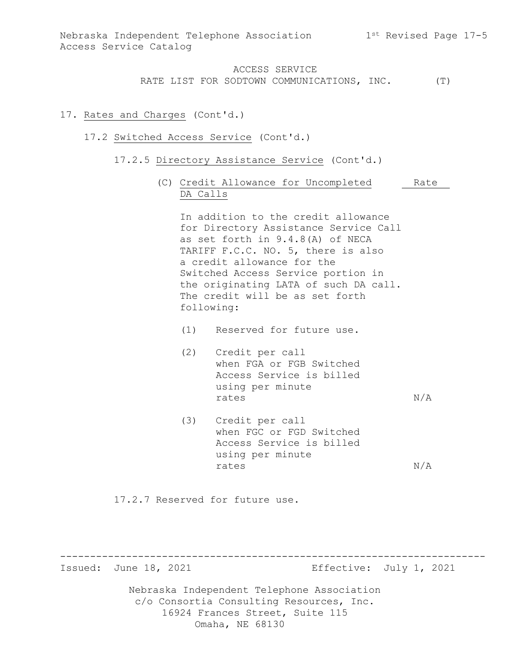- 17. Rates and Charges (Cont'd.)
	- 17.2 Switched Access Service (Cont'd.)
		- 17.2.5 Directory Assistance Service (Cont'd.)
			- (C) Credit Allowance for Uncompleted Rate DA Calls

In addition to the credit allowance for Directory Assistance Service Call as set forth in 9.4.8(A) of NECA TARIFF F.C.C. NO. 5, there is also a credit allowance for the Switched Access Service portion in the originating LATA of such DA call. The credit will be as set forth following:

- (1) Reserved for future use.
- (2) Credit per call when FGA or FGB Switched Access Service is billed using per minute rates  $N/A$
- (3) Credit per call when FGC or FGD Switched Access Service is billed using per minute rates  $N/A$

17.2.7 Reserved for future use.

----------------------------------------------------------------------- Effective: July 1, 2021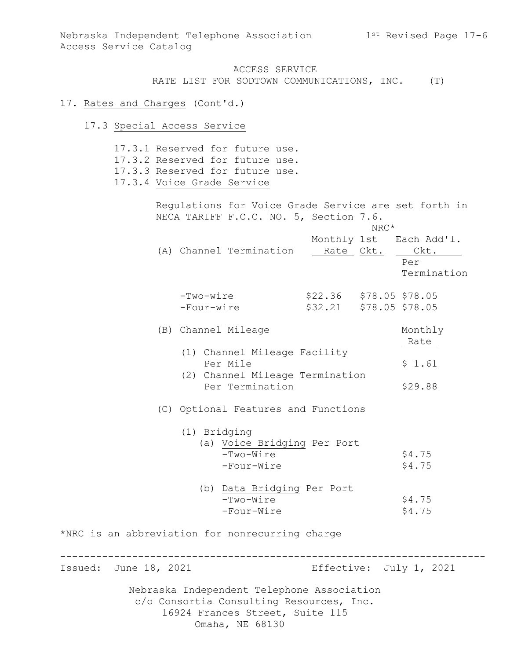Termination

ACCESS SERVICE RATE LIST FOR SODTOWN COMMUNICATIONS, INC. (T)

### 17. Rates and Charges (Cont'd.)

### 17.3 Special Access Service

17.3.1 Reserved for future use. 17.3.2 Reserved for future use. 17.3.3 Reserved for future use. 17.3.4 Voice Grade Service

> Regulations for Voice Grade Service are set forth in NECA TARIFF F.C.C. NO. 5, Section 7.6. NRC\* Monthly 1st Each Add'l. (A) Channel Termination Rate Ckt. Ckt. Per

| -Two-wire  | \$22.36 \$78.05 \$78.05 |  |
|------------|-------------------------|--|
| -Four-wire | \$32.21 \$78.05 \$78.05 |  |

|  | (B) Channel Mileage             | Monthly            |
|--|---------------------------------|--------------------|
|  |                                 | Rate               |
|  | (1) Channel Mileage Facility    |                    |
|  | Per Mile                        | \$1.61             |
|  | (2) Channel Mileage Termination |                    |
|  | Per Termination                 | S <sub>29.88</sub> |

#### (C) Optional Features and Functions

| (1) Bridging                |        |
|-----------------------------|--------|
| (a) Voice Bridging Per Port |        |
| -Two-Wire                   | \$4.75 |
| -Four-Wire                  | \$4.75 |

 (b) Data Bridging Per Port  $-Two-Wire$  \$4.75  $-Four-Wire$   $$4.75$ 

\*NRC is an abbreviation for nonrecurring charge

----------------------------------------------------------------------- Effective: July 1, 2021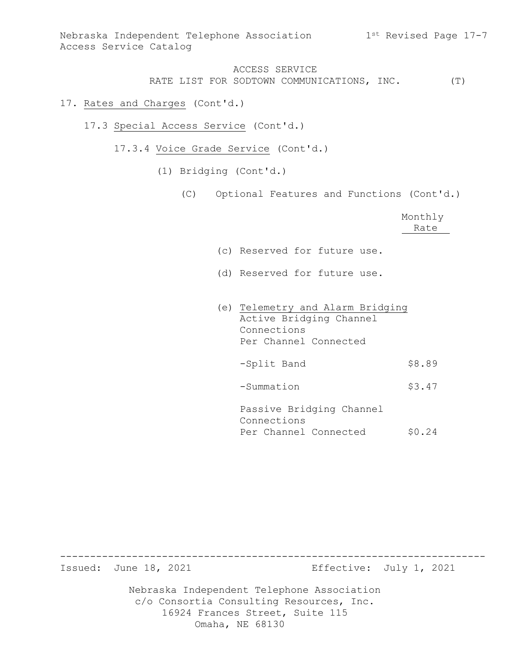### 17. Rates and Charges (Cont'd.)

- 17.3 Special Access Service (Cont'd.)
	- 17.3.4 Voice Grade Service (Cont'd.)
		- (1) Bridging (Cont'd.)
			- (C) Optional Features and Functions (Cont'd.)

|                              |  | Monthly<br>Rate |
|------------------------------|--|-----------------|
| (c) Reserved for future use. |  |                 |

- 
- (d) Reserved for future use.
- (e) Telemetry and Alarm Bridging Active Bridging Channel Connections Per Channel Connected -Split Band \$8.89 -Summation \$3.47 Passive Bridging Channel Connections

Per Channel Connected \$0.24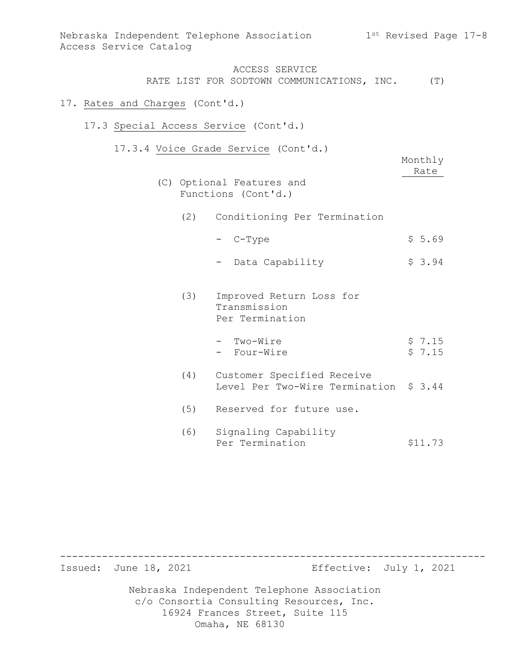Nebraska Independent Telephone Association 1st Revised Page 17-8 Access Service Catalog

> ACCESS SERVICE RATE LIST FOR SODTOWN COMMUNICATIONS, INC. (T)

### 17. Rates and Charges (Cont'd.)

## 17.3 Special Access Service (Cont'd.)

17.3.4 Voice Grade Service (Cont'd.)

|     |                                                                      | Monthly<br>Rate  |
|-----|----------------------------------------------------------------------|------------------|
|     | (C) Optional Features and<br>Functions (Cont'd.)                     |                  |
|     | (2) Conditioning Per Termination                                     |                  |
|     | - C-Type                                                             | \$5.69           |
|     | Data Capability                                                      | \$3.94           |
| (3) | Improved Return Loss for<br>Transmission<br>Per Termination          |                  |
|     | - Two-Wire<br>- Four-Wire                                            | \$7.15<br>\$7.15 |
| (4) | Customer Specified Receive<br>Level Per Two-Wire Termination \$ 3.44 |                  |
| (5) | Reserved for future use.                                             |                  |
| (6) | Signaling Capability<br>Per Termination                              | \$11.73          |

----------------------------------------------------------------------- Effective: July 1, 2021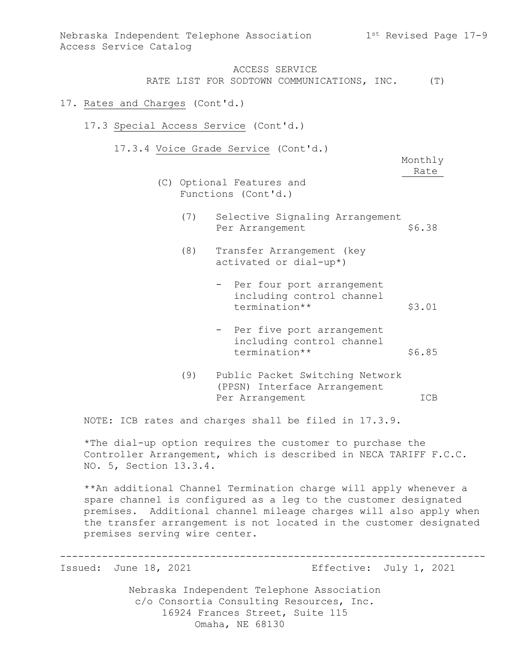Nebraska Independent Telephone Association 1st Revised Page 17-9 Access Service Catalog

> ACCESS SERVICE RATE LIST FOR SODTOWN COMMUNICATIONS, INC. (T)

### 17. Rates and Charges (Cont'd.)

- 17.3 Special Access Service (Cont'd.)
	- 17.3.4 Voice Grade Service (Cont'd.)

Monthly Rate

- (C) Optional Features and Functions (Cont'd.)
	- (7) Selective Signaling Arrangement Per Arrangement
	- (8) Transfer Arrangement (key activated or dial-up\*)
		- Per four port arrangement including control channel termination\*\* \$3.01
		- Per five port arrangement including control channel termination\*\* \$6.85
	- (9) Public Packet Switching Network (PPSN) Interface Arrangement Per Arrangement ICB

NOTE: ICB rates and charges shall be filed in 17.3.9.

\*The dial-up option requires the customer to purchase the Controller Arrangement, which is described in NECA TARIFF F.C.C. NO. 5, Section 13.3.4.

\*\*An additional Channel Termination charge will apply whenever a spare channel is configured as a leg to the customer designated premises. Additional channel mileage charges will also apply when the transfer arrangement is not located in the customer designated premises serving wire center.

-----------------------------------------------------------------------

Effective: July 1, 2021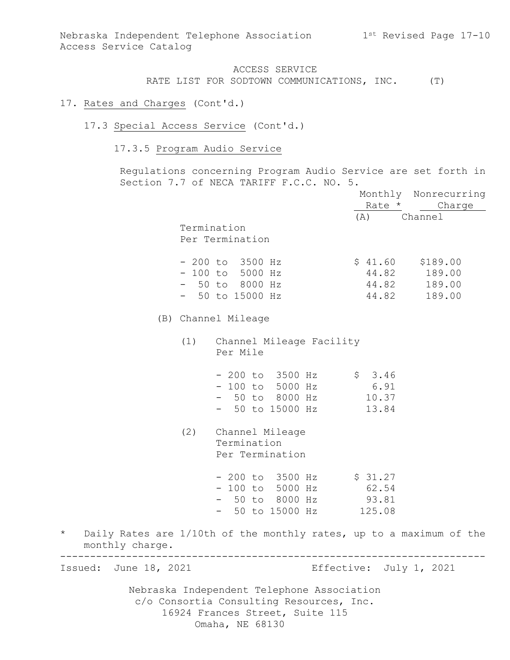- 17. Rates and Charges (Cont'd.)
	- 17.3 Special Access Service (Cont'd.)
		- 17.3.5 Program Audio Service

Regulations concerning Program Audio Service are set forth in Section 7.7 of NECA TARIFF F.C.C. NO. 5.

|                            |     |                                                                                                       |       | Monthly Nonrecurring    |
|----------------------------|-----|-------------------------------------------------------------------------------------------------------|-------|-------------------------|
|                            |     |                                                                                                       |       | Rate * Charge           |
|                            |     |                                                                                                       | (A)   | Channel                 |
|                            |     | Termination                                                                                           |       |                         |
|                            |     | Per Termination                                                                                       |       |                         |
|                            |     | $-200$ to $3500$ Hz                                                                                   |       | $$41.60$ $$189.00$      |
|                            |     | $-100$ to 5000 Hz                                                                                     |       | 44.82 189.00            |
|                            |     | $-50$ to 8000 Hz                                                                                      |       | 44.82 189.00            |
|                            |     | $-50$ to 15000 Hz                                                                                     | 44.82 | 189.00                  |
|                            |     | (B) Channel Mileage                                                                                   |       |                         |
|                            |     | (1) Channel Mileage Facility<br>Per Mile                                                              |       |                         |
|                            |     | - 200 to 3500 Hz \$ 3.46                                                                              |       |                         |
|                            |     | - 100 to 5000 Hz 6.91                                                                                 |       |                         |
|                            |     | - 50 to 8000 Hz 10.37                                                                                 |       |                         |
|                            |     | - 50 to 15000 Hz 13.84                                                                                |       |                         |
|                            | (2) | Channel Mileage                                                                                       |       |                         |
|                            |     | Termination                                                                                           |       |                         |
|                            |     | Per Termination                                                                                       |       |                         |
|                            |     | - 200 to 3500 Hz \$ 31.27                                                                             |       |                         |
|                            |     | $-100$ to 5000 Hz 62.54                                                                               |       |                         |
|                            |     | - 50 to 8000 Hz 93.81                                                                                 |       |                         |
|                            |     | - 50 to 15000 Hz 125.08                                                                               |       |                         |
| $\star$<br>monthly charge. |     | Daily Rates are 1/10th of the monthly rates, up to a maximum of the<br>------------------------------ |       |                         |
| Issued: June 18, 2021      |     |                                                                                                       |       | Effective: July 1, 2021 |
|                            |     |                                                                                                       |       |                         |
|                            |     | Nebraska Independent Telephone Association                                                            |       |                         |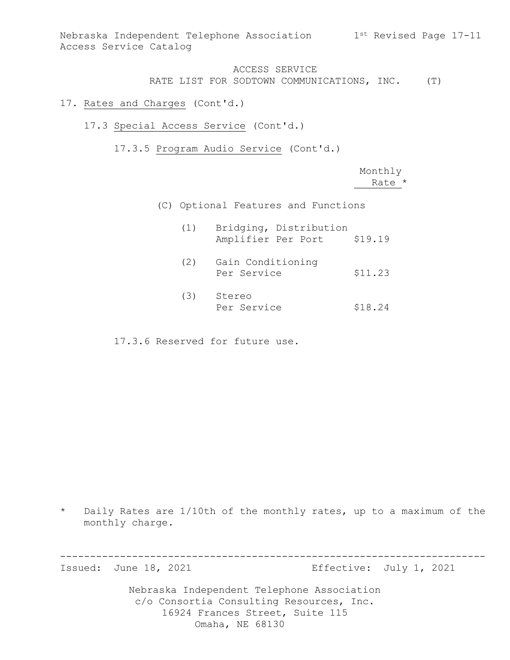- 17. Rates and Charges (Cont'd.)
	- 17.3 Special Access Service (Cont'd.)

17.3.5 Program Audio Service (Cont'd.)

 Monthly Rate \*

(C) Optional Features and Functions

| (1) | Bridging, Distribution<br>Amplifier Per Port | \$19.19 |
|-----|----------------------------------------------|---------|
| (2) | Gain Conditioning<br>Per Service             | \$11.23 |
| (3) | Stereo<br>Per Service                        | \$18.24 |

17.3.6 Reserved for future use.

\* Daily Rates are 1/10th of the monthly rates, up to a maximum of the monthly charge.

----------------------------------------------------------------------- Effective: July 1, 2021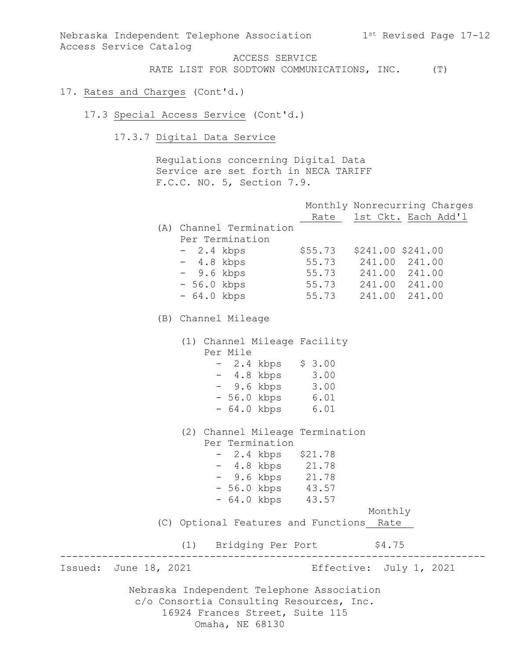Nebraska Independent Telephone Association 1st Revised Page 17-12 Access Service Catalog

ACCESS SERVICE

RATE LIST FOR SODTOWN COMMUNICATIONS, INC. (T)

### 17. Rates and Charges (Cont'd.)

#### 17.3 Special Access Service (Cont'd.)

17.3.7 Digital Data Service

Regulations concerning Digital Data Service are set forth in NECA TARIFF F.C.C. NO. 5, Section 7.9.

Nebraska Independent Telephone Association c/o Consortia Consulting Resources, Inc. 16924 Frances Street, Suite 115 Monthly Nonrecurring Charges Rate 1st Ckt. Each Add'1 (A) Channel Termination Per Termination - 2.4 kbps \$55.73 \$241.00 \$241.00 - 4.8 kbps 55.73 241.00 241.00 - 9.6 kbps 55.73 241.00 241.00 - 56.0 kbps 55.73 241.00 241.00 - 64.0 kbps 55.73 241.00 241.00 (B) Channel Mileage (1) Channel Mileage Facility Per Mile  $- 2.4$  kbps  $$3.00$ - 4.8 kbps 3.00 - 9.6 kbps 3.00 - 56.0 kbps 6.01 - 64.0 kbps 6.01 (2) Channel Mileage Termination Per Termination - 2.4 kbps \$21.78 - 4.8 kbps 21.78 - 9.6 kbps 21.78 - 56.0 kbps 43.57 - 64.0 kbps 43.57 Monthly (C) Optional Features and Functions Rate (1) Bridging Per Port \$4.75 ----------------------------------------------------------------------- Effective: July 1, 2021

Omaha, NE 68130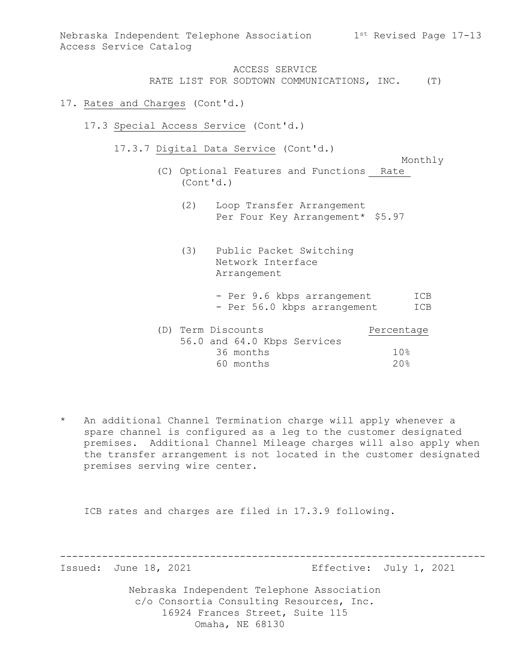## 17. Rates and Charges (Cont'd.)

- 17.3 Special Access Service (Cont'd.)
	- 17.3.7 Digital Data Service (Cont'd.)

Monthly

- (C) Optional Features and Functions Rate (Cont'd.)
	- (2) Loop Transfer Arrangement Per Four Key Arrangement\* \$5.97
	- (3) Public Packet Switching Network Interface Arrangement
		- Per 9.6 kbps arrangement ICB - Per 56.0 kbps arrangement ICB

|  | (D) Term Discounts |  |                             |  | Percentage |
|--|--------------------|--|-----------------------------|--|------------|
|  |                    |  | 56.0 and 64.0 Kbps Services |  |            |
|  | 36 months          |  |                             |  | 10%        |
|  | 60 months          |  |                             |  | 20%        |

\* An additional Channel Termination charge will apply whenever a spare channel is configured as a leg to the customer designated premises. Additional Channel Mileage charges will also apply when the transfer arrangement is not located in the customer designated premises serving wire center.

ICB rates and charges are filed in 17.3.9 following.

----------------------------------------------------------------------- Effective: July 1, 2021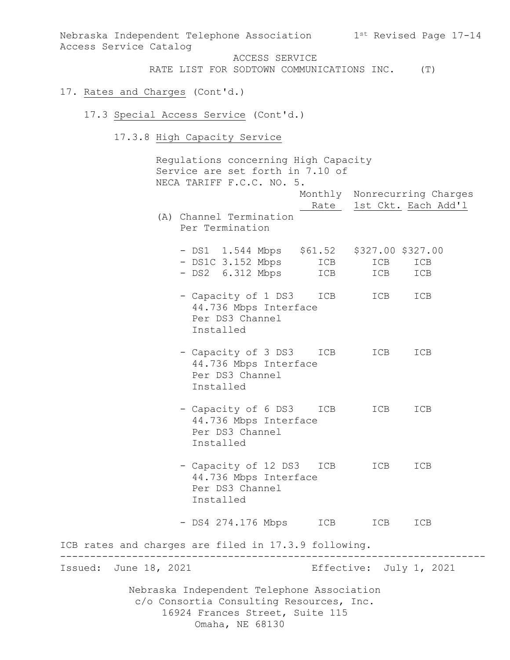Nebraska Independent Telephone Association c/o Consortia Consulting Resources, Inc. 16924 Frances Street, Suite 115 Nebraska Independent Telephone Association 1st Revised Page 17-14 Access Service Catalog ACCESS SERVICE RATE LIST FOR SODTOWN COMMUNICATIONS INC. (T) 17. Rates and Charges (Cont'd.) 17.3 Special Access Service (Cont'd.) 17.3.8 High Capacity Service Regulations concerning High Capacity Service are set forth in 7.10 of NECA TARIFF F.C.C. NO. 5. Monthly Nonrecurring Charges Rate 1st Ckt. Each Add'l (A) Channel Termination Per Termination - DS1 1.544 Mbps \$61.52 \$327.00 \$327.00 - DS1C 3.152 Mbps ICB ICB ICB - DS2 6.312 Mbps ICB ICB ICB - Capacity of 1 DS3 ICB ICB ICB 44.736 Mbps Interface Per DS3 Channel Installed - Capacity of 3 DS3 ICB ICB ICB 44.736 Mbps Interface Per DS3 Channel Installed - Capacity of 6 DS3 ICB ICB ICB 44.736 Mbps Interface Per DS3 Channel Installed - Capacity of 12 DS3 ICB ICB ICB 44.736 Mbps Interface Per DS3 Channel Installed - DS4 274.176 Mbps ICB ICB ICB ICB rates and charges are filed in 17.3.9 following. ----------------------------------------------------------------------- Effective: July 1, 2021

Omaha, NE 68130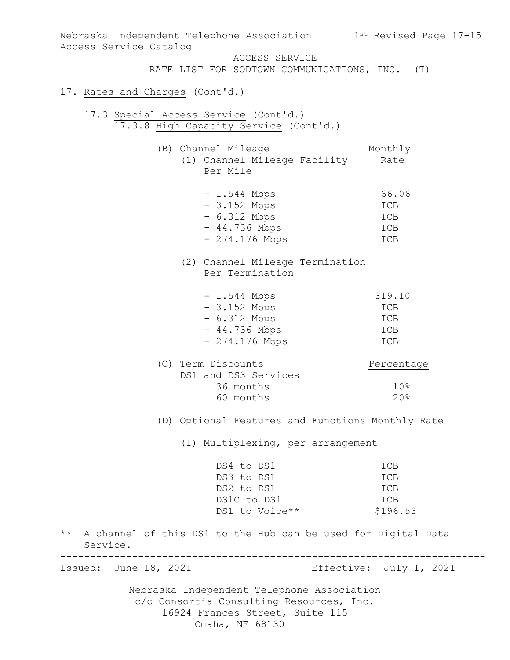| Nebraska Independent Telephone Association 1st Revised Page 17-15<br>Access Service Catalog |                                                                  |                         |
|---------------------------------------------------------------------------------------------|------------------------------------------------------------------|-------------------------|
|                                                                                             | ACCESS SERVICE<br>RATE LIST FOR SODTOWN COMMUNICATIONS, INC. (T) |                         |
| 17. Rates and Charges (Cont'd.)                                                             |                                                                  |                         |
|                                                                                             |                                                                  |                         |
| 17.3 Special Access Service (Cont'd.)                                                       | 17.3.8 High Capacity Service (Cont'd.)                           |                         |
|                                                                                             | (B) Channel Mileage                                              | Monthly                 |
|                                                                                             | (1) Channel Mileage Facility<br>Per Mile                         | Rate                    |
|                                                                                             | $-1.544$ Mbps                                                    | 66.06                   |
|                                                                                             | $-3.152$ Mbps                                                    | ICB                     |
|                                                                                             | $-6.312$ Mbps                                                    | ICB                     |
|                                                                                             | $-44.736$ Mbps                                                   | ICB                     |
|                                                                                             | - 274.176 Mbps                                                   | ICB                     |
|                                                                                             | (2) Channel Mileage Termination<br>Per Termination               |                         |
|                                                                                             | - 1.544 Mbps                                                     | 319.10                  |
|                                                                                             | $-3.152$ Mbps                                                    | ICB                     |
|                                                                                             | $-6.312$ Mbps                                                    | ICB                     |
|                                                                                             | $-44.736$ Mbps                                                   | ICB                     |
|                                                                                             | - 274.176 Mbps                                                   | ICB                     |
|                                                                                             | (C) Term Discounts                                               | Percentage              |
|                                                                                             | DS1 and DS3 Services                                             |                         |
|                                                                                             | 36 months<br>60 months                                           | 10%<br>20%              |
|                                                                                             |                                                                  |                         |
|                                                                                             | (D) Optional Features and Functions Monthly Rate                 |                         |
|                                                                                             | (1) Multiplexing, per arrangement                                |                         |
|                                                                                             | DS4 to DS1                                                       | ICB                     |
|                                                                                             | DS3 to DS1                                                       | ICB                     |
|                                                                                             | DS2 to DS1                                                       | ICB                     |
|                                                                                             | DS1C to DS1                                                      | ICB                     |
|                                                                                             | DS1 to Voice**                                                   | \$196.53                |
| $\star\star$<br>Service.                                                                    | A channel of this DS1 to the Hub can be used for Digital Data    |                         |
| Issued: June 18, 2021                                                                       |                                                                  | Effective: July 1, 2021 |
|                                                                                             | Nebraska Independent Telephone Association                       |                         |
|                                                                                             | c/o Consortia Consulting Resources, Inc.                         |                         |
|                                                                                             | 16924 Frances Street, Suite 115<br>Omaha, NE 68130               |                         |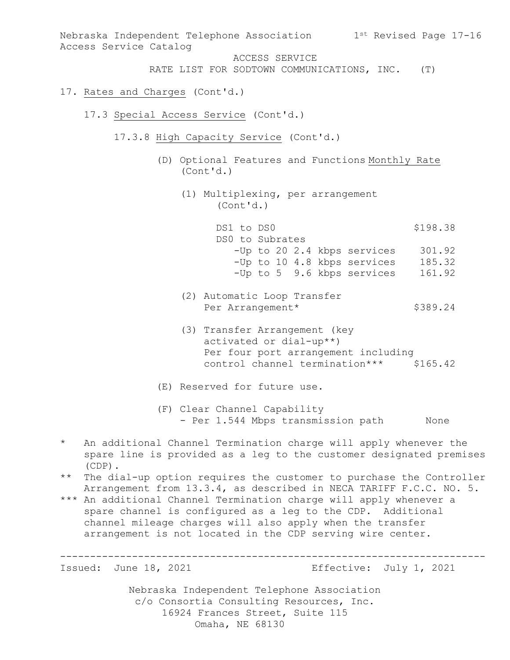Nebraska Independent Telephone Association 1st Revised Page 17-16 Access Service Catalog ACCESS SERVICE RATE LIST FOR SODTOWN COMMUNICATIONS, INC. (T) 17. Rates and Charges (Cont'd.) 17.3 Special Access Service (Cont'd.) 17.3.8 High Capacity Service (Cont'd.) (D) Optional Features and Functions Monthly Rate (Cont'd.) (1) Multiplexing, per arrangement (Cont'd.) DS1 to DS0 \$198.38 DS0 to Subrates -Up to 20 2.4 kbps services 301.92 -Up to 10 4.8 kbps services 185.32 -Up to 5 9.6 kbps services 161.92 (2) Automatic Loop Transfer Per Arrangement\* \$389.24 (3) Transfer Arrangement (key activated or dial-up\*\*) Per four port arrangement including control channel termination\*\*\* \$165.42 (E) Reserved for future use. (F) Clear Channel Capability - Per 1.544 Mbps transmission path Mone \* An additional Channel Termination charge will apply whenever the spare line is provided as a leg to the customer designated premises (CDP). \*\* The dial-up option requires the customer to purchase the Controller Arrangement from 13.3.4, as described in NECA TARIFF F.C.C. NO. 5. \*\*\* An additional Channel Termination charge will apply whenever a spare channel is configured as a leg to the CDP. Additional channel mileage charges will also apply when the transfer arrangement is not located in the CDP serving wire center. ----------------------------------------------------------------------- Effective: July 1, 2021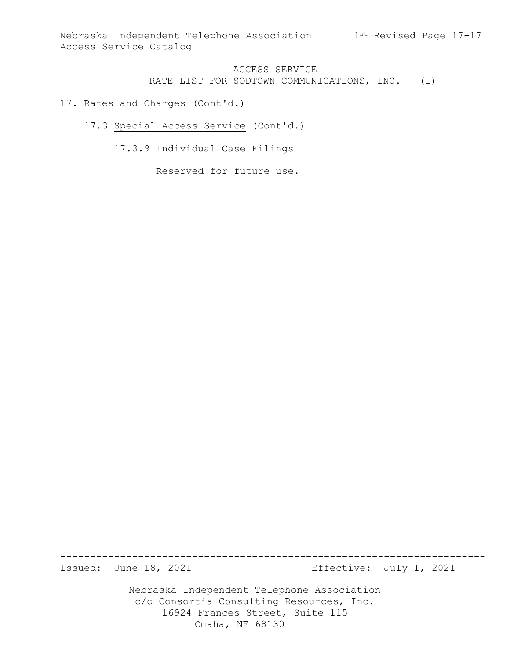## 17. Rates and Charges (Cont'd.)

### 17.3 Special Access Service (Cont'd.)

## 17.3.9 Individual Case Filings

Reserved for future use.

----------------------------------------------------------------------- Effective: July 1, 2021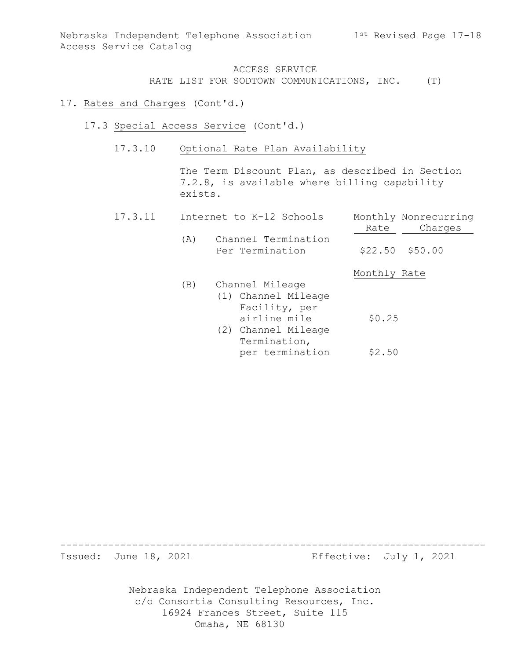### 17. Rates and Charges (Cont'd.)

- 17.3 Special Access Service (Cont'd.)
	- 17.3.10 Optional Rate Plan Availability

The Term Discount Plan, as described in Section 7.2.8, is available where billing capability exists.

| 17.3.11 |     | Internet to K-12 Schools                                                                    | Monthly Nonrecurring                 |
|---------|-----|---------------------------------------------------------------------------------------------|--------------------------------------|
|         | (A) | Channel Termination<br>Per Termination                                                      | Charges<br>Rate<br>$$22.50$ $$50.00$ |
|         | (B) | Channel Mileage                                                                             | Monthly Rate                         |
|         |     | (1) Channel Mileage<br>Facility, per<br>airline mile<br>(2) Channel Mileage<br>Termination, | \$0.25                               |
|         |     | per termination                                                                             | \$2.50                               |

----------------------------------------------------------------------- Effective: July 1, 2021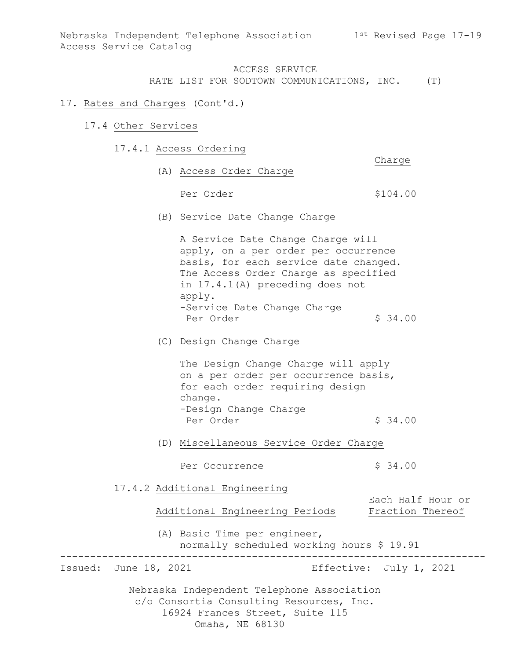Nebraska Independent Telephone Association 1st Revised Page 17-19 Access Service Catalog

ACCESS SERVICE

RATE LIST FOR SODTOWN COMMUNICATIONS, INC. (T)

- 17. Rates and Charges (Cont'd.)
	- 17.4 Other Services
		- 17.4.1 Access Ordering

Charge

(A) Access Order Charge

Per Order  $$104.00$ 

(B) Service Date Change Charge

A Service Date Change Charge will apply, on a per order per occurrence basis, for each service date changed. The Access Order Charge as specified in 17.4.1(A) preceding does not apply. -Service Date Change Charge Per Order  $\sim$  \$ 34.00

(C) Design Change Charge

The Design Change Charge will apply on a per order per occurrence basis, for each order requiring design change. -Design Change Charge Per Order  $$34.00$ 

(D) Miscellaneous Service Order Charge

Per Occurrence  $\frac{1}{2}$  \$ 34.00

17.4.2 Additional Engineering

Additional Engineering Periods Fraction Thereof

(A) Basic Time per engineer, normally scheduled working hours \$ 19.91

-----------------------------------------------------------------------

Effective: July 1, 2021

Each Half Hour or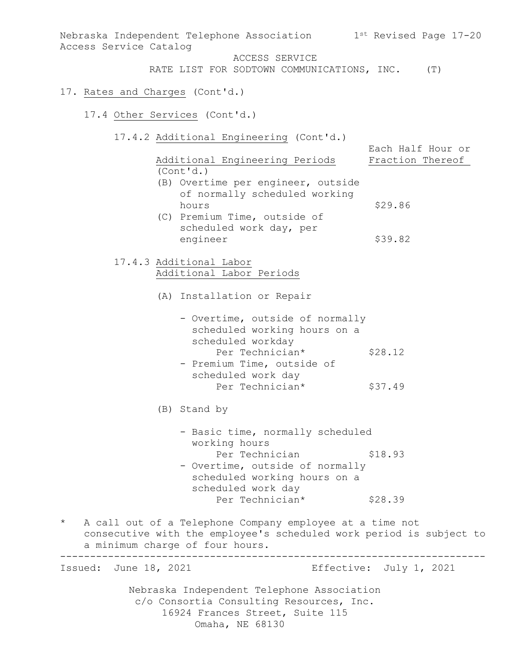Nebraska Independent Telephone Association c/o Consortia Consulting Resources, Inc. 16924 Frances Street, Suite 115 Nebraska Independent Telephone Association 1st Revised Page 17-20 Access Service Catalog ACCESS SERVICE RATE LIST FOR SODTOWN COMMUNICATIONS, INC. (T) 17. Rates and Charges (Cont'd.) 17.4 Other Services (Cont'd.) 17.4.2 Additional Engineering (Cont'd.) Each Half Hour or Additional Engineering Periods Fraction Thereof (Cont'd.) (B) Overtime per engineer, outside of normally scheduled working hours \$29.86 (C) Premium Time, outside of scheduled work day, per engineer \$39.82 17.4.3 Additional Labor Additional Labor Periods (A) Installation or Repair - Overtime, outside of normally scheduled working hours on a scheduled workday Per Technician\* \$28.12 - Premium Time, outside of scheduled work day Per Technician\* \$37.49 (B) Stand by - Basic time, normally scheduled working hours Per Technician \$18.93 - Overtime, outside of normally scheduled working hours on a scheduled work day Per Technician\* \$28.39 \* A call out of a Telephone Company employee at a time not consecutive with the employee's scheduled work period is subject to a minimum charge of four hours. ----------------------------------------------------------------------- Effective: July 1, 2021

Omaha, NE 68130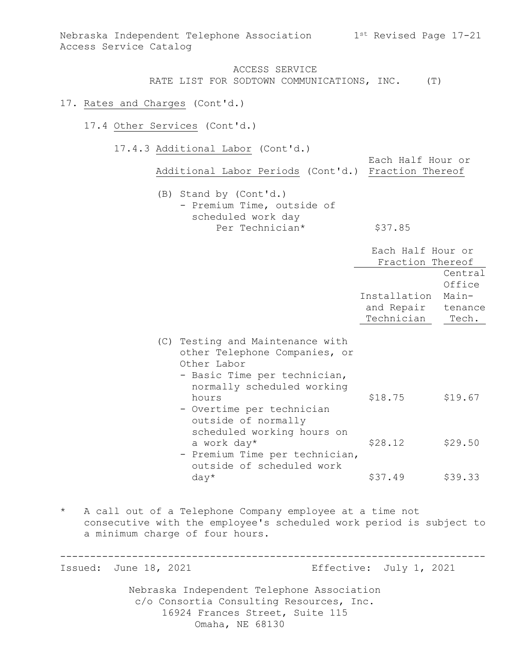Nebraska Independent Telephone Association 1st Revised Page 17-21 Access Service Catalog

> ACCESS SERVICE RATE LIST FOR SODTOWN COMMUNICATIONS, INC. (T)

#### 17. Rates and Charges (Cont'd.)

17.4 Other Services (Cont'd.)

17.4.3 Additional Labor (Cont'd.)

Additional Labor Periods (Cont'd.) Fraction Thereof

Each Half Hour or

(B) Stand by (Cont'd.) - Premium Time, outside of scheduled work day Per Technician\* \$37.85

|     |                                                                                                                                            | Each Half Hour or<br>Fraction Thereof    | Central<br>Office         |
|-----|--------------------------------------------------------------------------------------------------------------------------------------------|------------------------------------------|---------------------------|
|     |                                                                                                                                            | Installation<br>and Repair<br>Technician | Main-<br>tenance<br>Tech. |
| (C) | Testing and Maintenance with<br>other Telephone Companies, or<br>Other Labor<br>- Basic Time per technician,<br>normally scheduled working |                                          |                           |
|     | hours<br>- Overtime per technician<br>outside of normally<br>scheduled working hours on                                                    | \$18.75                                  | \$19.67                   |
|     | a work day*<br>- Premium Time per technician,<br>outside of scheduled work                                                                 | \$28.12                                  | \$29.50                   |
|     | $day*$                                                                                                                                     | \$37.49                                  | \$39.33                   |

\* A call out of a Telephone Company employee at a time not consecutive with the employee's scheduled work period is subject to a minimum charge of four hours.

----------------------------------------------------------------------- Effective: July 1, 2021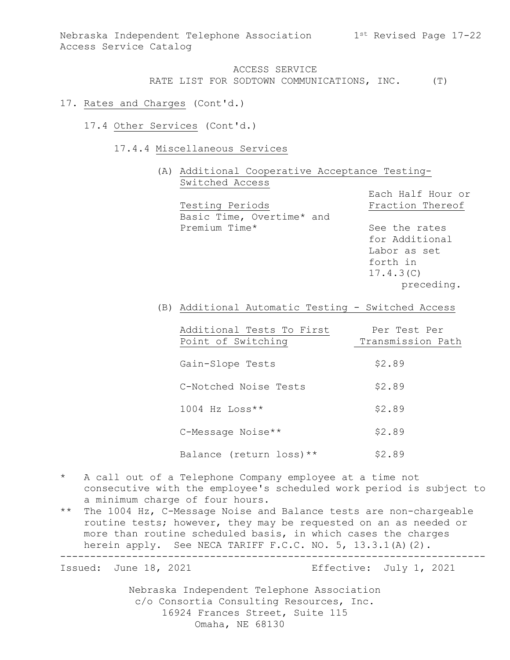Nebraska Independent Telephone Association 1st Revised Page 17-22 Access Service Catalog

> ACCESS SERVICE RATE LIST FOR SODTOWN COMMUNICATIONS, INC. (T)

### 17. Rates and Charges (Cont'd.)

- 17.4 Other Services (Cont'd.)
	- 17.4.4 Miscellaneous Services
		- (A) Additional Cooperative Acceptance Testing-Switched Access

Each Half Hour or Testing Periods Testion Thereof Basic Time, Overtime\* and<br>Premium Time\*

See the rates for Additional Labor as set forth in 17.4.3(C) preceding.

(B) Additional Automatic Testing - Switched Access

| Additional Tests To First | Per Test Per      |
|---------------------------|-------------------|
| Point of Switching        | Transmission Path |
|                           |                   |
| Gain-Slope Tests          | \$2.89            |
|                           |                   |
| C-Notched Noise Tests     | \$2.89            |
|                           |                   |
| $1004$ Hz Loss**          | \$2.89            |
| C-Message Noise**         | \$2.89            |
|                           |                   |
| Balance (return loss) **  | \$2.89            |

- \* A call out of a Telephone Company employee at a time not consecutive with the employee's scheduled work period is subject to a minimum charge of four hours.
- \*\* The 1004 Hz, C-Message Noise and Balance tests are non-chargeable routine tests; however, they may be requested on an as needed or more than routine scheduled basis, in which cases the charges herein apply. See NECA TARIFF F.C.C. NO. 5, 13.3.1(A)(2).

-----------------------------------------------------------------------

Effective: July 1, 2021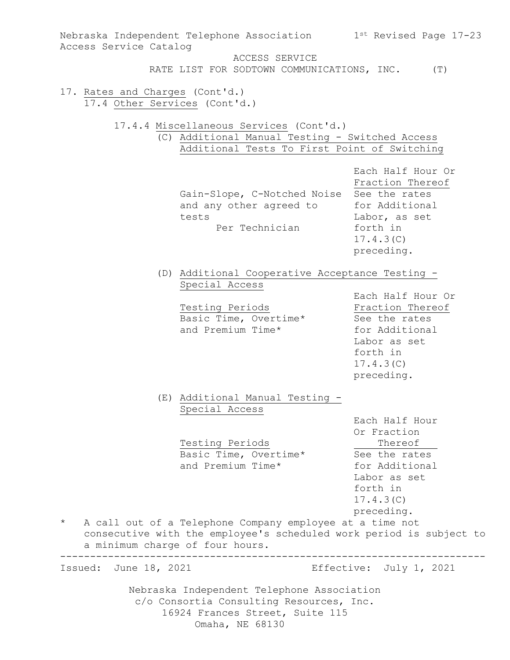|                                                                  | Nebraska Independent Telephone Association 1st Revised Page 17-23                                                                                                  |                                                                                                                                 |  |
|------------------------------------------------------------------|--------------------------------------------------------------------------------------------------------------------------------------------------------------------|---------------------------------------------------------------------------------------------------------------------------------|--|
| Access Service Catalog                                           | ACCESS SERVICE                                                                                                                                                     |                                                                                                                                 |  |
|                                                                  | RATE LIST FOR SODTOWN COMMUNICATIONS, INC.                                                                                                                         | (T)                                                                                                                             |  |
| 17. Rates and Charges (Cont'd.)<br>17.4 Other Services (Cont'd.) |                                                                                                                                                                    |                                                                                                                                 |  |
|                                                                  | 17.4.4 Miscellaneous Services (Cont'd.)<br>(C) Additional Manual Testing - Switched Access<br>Additional Tests To First Point of Switching                         |                                                                                                                                 |  |
|                                                                  | Gain-Slope, C-Notched Noise See the rates<br>and any other agreed to<br>tests<br>Per Technician                                                                    | Each Half Hour Or<br>Fraction Thereof<br>for Additional<br>Labor, as set<br>forth in<br>17.4.3(C)<br>preceding.                 |  |
|                                                                  | (D) Additional Cooperative Acceptance Testing -<br>Special Access                                                                                                  |                                                                                                                                 |  |
|                                                                  | Testing Periods<br>Basic Time, Overtime*<br>and Premium Time*                                                                                                      | Each Half Hour Or<br>Fraction Thereof<br>See the rates<br>for Additional<br>Labor as set<br>forth in<br>17.4.3(C)<br>preceding. |  |
|                                                                  | (E) Additional Manual Testing -<br>Special Access                                                                                                                  | Each Half Hour<br>Or Fraction                                                                                                   |  |
|                                                                  | Testing Periods<br>Basic Time, Overtime*<br>and Premium Time*                                                                                                      | Thereof<br>See the rates<br>for Additional<br>Labor as set<br>forth in<br>17.4.3(C)<br>preceding.                               |  |
| $\star$                                                          | A call out of a Telephone Company employee at a time not<br>consecutive with the employee's scheduled work period is subject to<br>a minimum charge of four hours. |                                                                                                                                 |  |
| Issued: June 18, 2021<br>Effective: July 1, 2021                 |                                                                                                                                                                    |                                                                                                                                 |  |
|                                                                  | Nebraska Independent Telephone Association<br>c/o Consortia Consulting Resources, Inc.<br>16924 Frances Street, Suite 115<br>Omaha, NE 68130                       |                                                                                                                                 |  |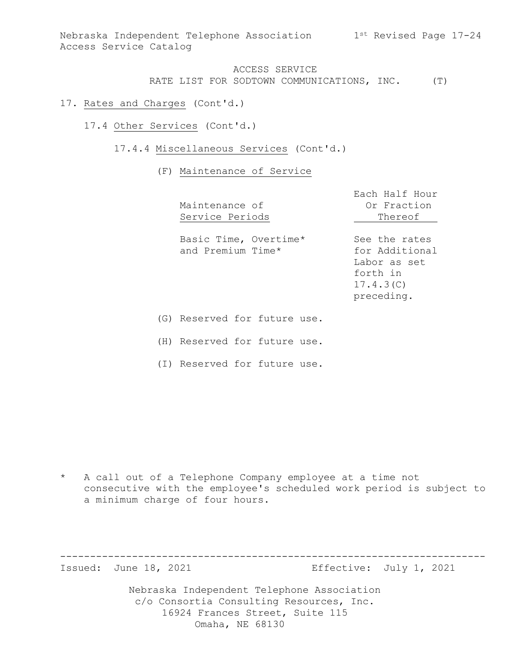Nebraska Independent Telephone Association 1st Revised Page 17-24 Access Service Catalog

# ACCESS SERVICE RATE LIST FOR SODTOWN COMMUNICATIONS, INC. (T)

- 17. Rates and Charges (Cont'd.)
	- 17.4 Other Services (Cont'd.)
		- 17.4.4 Miscellaneous Services (Cont'd.)

### (F) Maintenance of Service

|         | Maintenance of<br>Service Periods          | Each Half Hour<br>Or Fraction<br>Thereof                                               |  |
|---------|--------------------------------------------|----------------------------------------------------------------------------------------|--|
|         | Basic Time, Overtime*<br>and Premium Time* | See the rates<br>for Additional<br>Labor as set<br>forth in<br>17.4.3(C)<br>preceding. |  |
|         | (G) Reserved for future use.               |                                                                                        |  |
| $1 + 7$ |                                            |                                                                                        |  |

(H) Reserved for future use.

(I) Reserved for future use.

\* A call out of a Telephone Company employee at a time not consecutive with the employee's scheduled work period is subject to a minimum charge of four hours.

----------------------------------------------------------------------- Effective: July 1, 2021